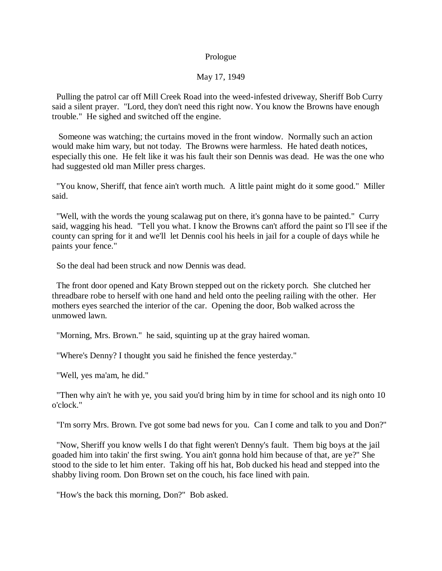## Prologue

## May 17, 1949

 Pulling the patrol car off Mill Creek Road into the weed-infested driveway, Sheriff Bob Curry said a silent prayer. "Lord, they don't need this right now. You know the Browns have enough trouble." He sighed and switched off the engine.

 Someone was watching; the curtains moved in the front window. Normally such an action would make him wary, but not today. The Browns were harmless. He hated death notices, especially this one. He felt like it was his fault their son Dennis was dead. He was the one who had suggested old man Miller press charges.

 "You know, Sheriff, that fence ain't worth much. A little paint might do it some good." Miller said.

 "Well, with the words the young scalawag put on there, it's gonna have to be painted." Curry said, wagging his head. "Tell you what. I know the Browns can't afford the paint so I'll see if the county can spring for it and we'll let Dennis cool his heels in jail for a couple of days while he paints your fence."

So the deal had been struck and now Dennis was dead.

 The front door opened and Katy Brown stepped out on the rickety porch. She clutched her threadbare robe to herself with one hand and held onto the peeling railing with the other. Her mothers eyes searched the interior of the car. Opening the door, Bob walked across the unmowed lawn.

"Morning, Mrs. Brown." he said, squinting up at the gray haired woman.

"Where's Denny? I thought you said he finished the fence yesterday."

"Well, yes ma'am, he did."

 "Then why ain't he with ye, you said you'd bring him by in time for school and its nigh onto 10 o'clock."

"I'm sorry Mrs. Brown. I've got some bad news for you. Can I come and talk to you and Don?"

 "Now, Sheriff you know wells I do that fight weren't Denny's fault. Them big boys at the jail goaded him into takin' the first swing. You ain't gonna hold him because of that, are ye?" She stood to the side to let him enter. Taking off his hat, Bob ducked his head and stepped into the shabby living room. Don Brown set on the couch, his face lined with pain.

"How's the back this morning, Don?" Bob asked.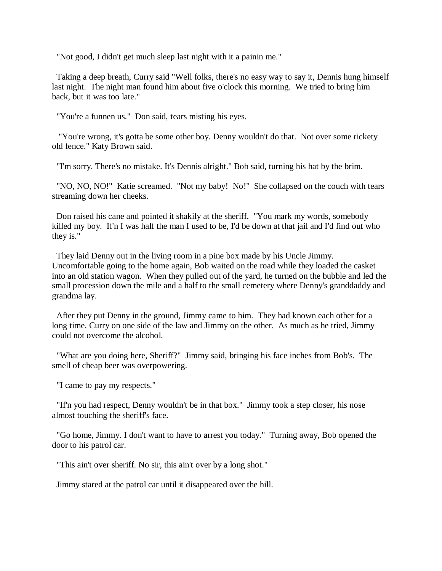"Not good, I didn't get much sleep last night with it a painin me."

 Taking a deep breath, Curry said "Well folks, there's no easy way to say it, Dennis hung himself last night. The night man found him about five o'clock this morning. We tried to bring him back, but it was too late."

"You're a funnen us." Don said, tears misting his eyes.

 "You're wrong, it's gotta be some other boy. Denny wouldn't do that. Not over some rickety old fence." Katy Brown said.

"I'm sorry. There's no mistake. It's Dennis alright." Bob said, turning his hat by the brim.

 "NO, NO, NO!" Katie screamed. "Not my baby! No!" She collapsed on the couch with tears streaming down her cheeks.

 Don raised his cane and pointed it shakily at the sheriff. "You mark my words, somebody killed my boy. If'n I was half the man I used to be, I'd be down at that jail and I'd find out who they is."

 They laid Denny out in the living room in a pine box made by his Uncle Jimmy. Uncomfortable going to the home again, Bob waited on the road while they loaded the casket into an old station wagon. When they pulled out of the yard, he turned on the bubble and led the small procession down the mile and a half to the small cemetery where Denny's granddaddy and grandma lay.

 After they put Denny in the ground, Jimmy came to him. They had known each other for a long time, Curry on one side of the law and Jimmy on the other. As much as he tried, Jimmy could not overcome the alcohol.

 "What are you doing here, Sheriff?" Jimmy said, bringing his face inches from Bob's. The smell of cheap beer was overpowering.

"I came to pay my respects."

 "If'n you had respect, Denny wouldn't be in that box." Jimmy took a step closer, his nose almost touching the sheriff's face.

 "Go home, Jimmy. I don't want to have to arrest you today." Turning away, Bob opened the door to his patrol car.

"This ain't over sheriff. No sir, this ain't over by a long shot."

Jimmy stared at the patrol car until it disappeared over the hill.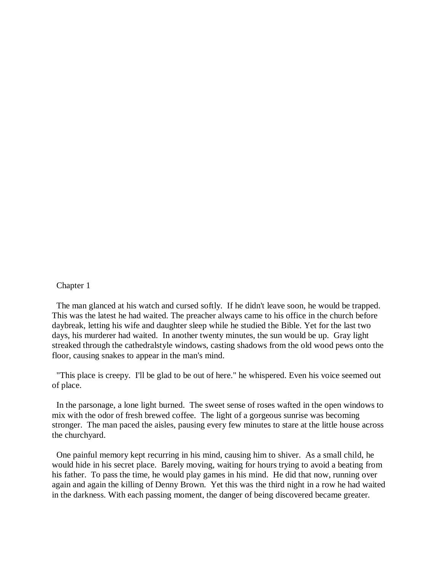## Chapter 1

 The man glanced at his watch and cursed softly. If he didn't leave soon, he would be trapped. This was the latest he had waited. The preacher always came to his office in the church before daybreak, letting his wife and daughter sleep while he studied the Bible. Yet for the last two days, his murderer had waited. In another twenty minutes, the sun would be up. Gray light streaked through the cathedralstyle windows, casting shadows from the old wood pews onto the floor, causing snakes to appear in the man's mind.

 "This place is creepy. I'll be glad to be out of here." he whispered. Even his voice seemed out of place.

 In the parsonage, a lone light burned. The sweet sense of roses wafted in the open windows to mix with the odor of fresh brewed coffee. The light of a gorgeous sunrise was becoming stronger. The man paced the aisles, pausing every few minutes to stare at the little house across the churchyard.

 One painful memory kept recurring in his mind, causing him to shiver. As a small child, he would hide in his secret place. Barely moving, waiting for hours trying to avoid a beating from his father. To pass the time, he would play games in his mind. He did that now, running over again and again the killing of Denny Brown. Yet this was the third night in a row he had waited in the darkness. With each passing moment, the danger of being discovered became greater.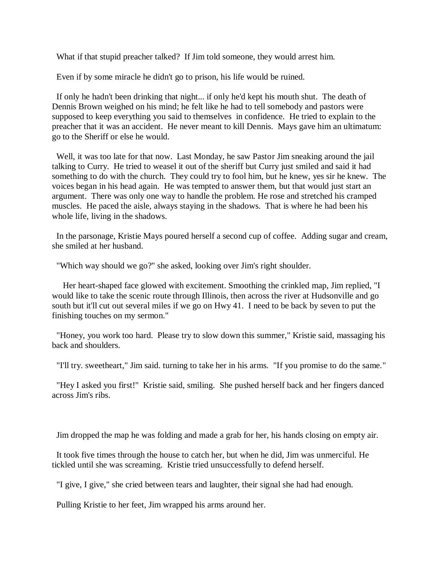What if that stupid preacher talked? If Jim told someone, they would arrest him.

Even if by some miracle he didn't go to prison, his life would be ruined.

 If only he hadn't been drinking that night... if only he'd kept his mouth shut. The death of Dennis Brown weighed on his mind; he felt like he had to tell somebody and pastors were supposed to keep everything you said to themselves in confidence. He tried to explain to the preacher that it was an accident. He never meant to kill Dennis. Mays gave him an ultimatum: go to the Sheriff or else he would.

 Well, it was too late for that now. Last Monday, he saw Pastor Jim sneaking around the jail talking to Curry. He tried to weasel it out of the sheriff but Curry just smiled and said it had something to do with the church. They could try to fool him, but he knew, yes sir he knew. The voices began in his head again. He was tempted to answer them, but that would just start an argument. There was only one way to handle the problem. He rose and stretched his cramped muscles. He paced the aisle, always staying in the shadows. That is where he had been his whole life, living in the shadows.

 In the parsonage, Kristie Mays poured herself a second cup of coffee. Adding sugar and cream, she smiled at her husband.

"Which way should we go?" she asked, looking over Jim's right shoulder.

 Her heart-shaped face glowed with excitement. Smoothing the crinkled map, Jim replied, "I would like to take the scenic route through Illinois, then across the river at Hudsonville and go south but it'll cut out several miles if we go on Hwy 41. I need to be back by seven to put the finishing touches on my sermon."

 "Honey, you work too hard. Please try to slow down this summer," Kristie said, massaging his back and shoulders.

"I'll try. sweetheart," Jim said. turning to take her in his arms. "If you promise to do the same."

 "Hey I asked you first!" Kristie said, smiling. She pushed herself back and her fingers danced across Jim's ribs.

Jim dropped the map he was folding and made a grab for her, his hands closing on empty air.

 It took five times through the house to catch her, but when he did, Jim was unmerciful. He tickled until she was screaming. Kristie tried unsuccessfully to defend herself.

"I give, I give," she cried between tears and laughter, their signal she had had enough.

Pulling Kristie to her feet, Jim wrapped his arms around her.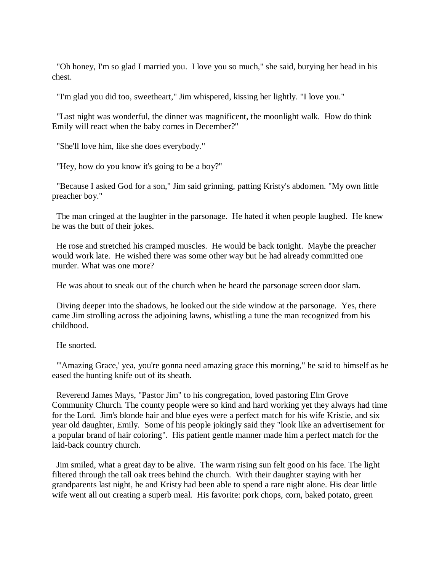"Oh honey, I'm so glad I married you. I love you so much," she said, burying her head in his chest.

"I'm glad you did too, sweetheart," Jim whispered, kissing her lightly. "I love you."

 "Last night was wonderful, the dinner was magnificent, the moonlight walk. How do think Emily will react when the baby comes in December?"

"She'll love him, like she does everybody."

"Hey, how do you know it's going to be a boy?"

 "Because I asked God for a son," Jim said grinning, patting Kristy's abdomen. "My own little preacher boy."

 The man cringed at the laughter in the parsonage. He hated it when people laughed. He knew he was the butt of their jokes.

 He rose and stretched his cramped muscles. He would be back tonight. Maybe the preacher would work late. He wished there was some other way but he had already committed one murder. What was one more?

He was about to sneak out of the church when he heard the parsonage screen door slam.

 Diving deeper into the shadows, he looked out the side window at the parsonage. Yes, there came Jim strolling across the adjoining lawns, whistling a tune the man recognized from his childhood.

He snorted.

 "'Amazing Grace,' yea, you're gonna need amazing grace this morning," he said to himself as he eased the hunting knife out of its sheath.

 Reverend James Mays, "Pastor Jim" to his congregation, loved pastoring Elm Grove Community Church. The county people were so kind and hard working yet they always had time for the Lord. Jim's blonde hair and blue eyes were a perfect match for his wife Kristie, and six year old daughter, Emily. Some of his people jokingly said they "look like an advertisement for a popular brand of hair coloring". His patient gentle manner made him a perfect match for the laid-back country church.

 Jim smiled, what a great day to be alive. The warm rising sun felt good on his face. The light filtered through the tall oak trees behind the church. With their daughter staying with her grandparents last night, he and Kristy had been able to spend a rare night alone. His dear little wife went all out creating a superb meal. His favorite: pork chops, corn, baked potato, green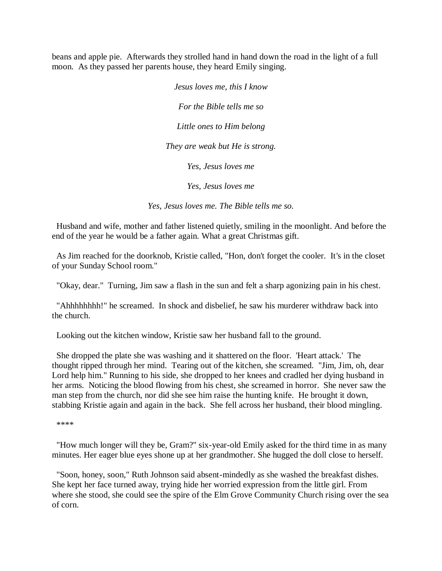beans and apple pie. Afterwards they strolled hand in hand down the road in the light of a full moon. As they passed her parents house, they heard Emily singing.

> *Jesus loves me, this I know For the Bible tells me so Little ones to Him belong They are weak but He is strong. Yes, Jesus loves me Yes, Jesus loves me*

*Yes, Jesus loves me. The Bible tells me so.*

 Husband and wife, mother and father listened quietly, smiling in the moonlight. And before the end of the year he would be a father again. What a great Christmas gift.

 As Jim reached for the doorknob, Kristie called, "Hon, don't forget the cooler. It's in the closet of your Sunday School room."

"Okay, dear." Turning, Jim saw a flash in the sun and felt a sharp agonizing pain in his chest.

 "Ahhhhhhhh!" he screamed. In shock and disbelief, he saw his murderer withdraw back into the church.

Looking out the kitchen window, Kristie saw her husband fall to the ground.

 She dropped the plate she was washing and it shattered on the floor. 'Heart attack.' The thought ripped through her mind. Tearing out of the kitchen, she screamed. "Jim, Jim, oh, dear Lord help him." Running to his side, she dropped to her knees and cradled her dying husband in her arms. Noticing the blood flowing from his chest, she screamed in horror. She never saw the man step from the church, nor did she see him raise the hunting knife. He brought it down, stabbing Kristie again and again in the back. She fell across her husband, their blood mingling.

\*\*\*\*

 "How much longer will they be, Gram?" six-year-old Emily asked for the third time in as many minutes. Her eager blue eyes shone up at her grandmother. She hugged the doll close to herself.

 "Soon, honey, soon," Ruth Johnson said absent-mindedly as she washed the breakfast dishes. She kept her face turned away, trying hide her worried expression from the little girl. From where she stood, she could see the spire of the Elm Grove Community Church rising over the sea of corn.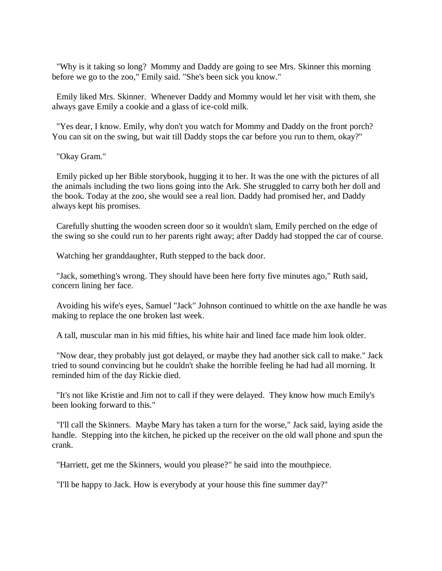"Why is it taking so long? Mommy and Daddy are going to see Mrs. Skinner this morning before we go to the zoo," Emily said. "She's been sick you know."

 Emily liked Mrs. Skinner. Whenever Daddy and Mommy would let her visit with them, she always gave Emily a cookie and a glass of ice-cold milk.

 "Yes dear, I know. Emily, why don't you watch for Mommy and Daddy on the front porch? You can sit on the swing, but wait till Daddy stops the car before you run to them, okay?"

"Okay Gram."

 Emily picked up her Bible storybook, hugging it to her. It was the one with the pictures of all the animals including the two lions going into the Ark. She struggled to carry both her doll and the book. Today at the zoo, she would see a real lion. Daddy had promised her, and Daddy always kept his promises.

 Carefully shutting the wooden screen door so it wouldn't slam, Emily perched on the edge of the swing so she could run to her parents right away; after Daddy had stopped the car of course.

Watching her granddaughter, Ruth stepped to the back door.

 "Jack, something's wrong. They should have been here forty five minutes ago," Ruth said, concern lining her face.

 Avoiding his wife's eyes, Samuel "Jack" Johnson continued to whittle on the axe handle he was making to replace the one broken last week.

A tall, muscular man in his mid fifties, his white hair and lined face made him look older.

 "Now dear, they probably just got delayed, or maybe they had another sick call to make." Jack tried to sound convincing but he couldn't shake the horrible feeling he had had all morning. It reminded him of the day Rickie died.

 "It's not like Kristie and Jim not to call if they were delayed. They know how much Emily's been looking forward to this."

 "I'll call the Skinners. Maybe Mary has taken a turn for the worse," Jack said, laying aside the handle. Stepping into the kitchen, he picked up the receiver on the old wall phone and spun the crank.

"Harriett, get me the Skinners, would you please?" he said into the mouthpiece.

"I'll be happy to Jack. How is everybody at your house this fine summer day?"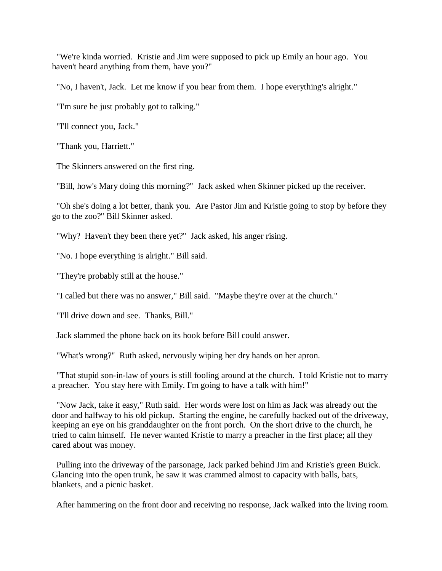"We're kinda worried. Kristie and Jim were supposed to pick up Emily an hour ago. You haven't heard anything from them, have you?"

"No, I haven't, Jack. Let me know if you hear from them. I hope everything's alright."

"I'm sure he just probably got to talking."

"I'll connect you, Jack."

"Thank you, Harriett."

The Skinners answered on the first ring.

"Bill, how's Mary doing this morning?" Jack asked when Skinner picked up the receiver.

 "Oh she's doing a lot better, thank you. Are Pastor Jim and Kristie going to stop by before they go to the zoo?" Bill Skinner asked.

"Why? Haven't they been there yet?" Jack asked, his anger rising.

"No. I hope everything is alright." Bill said.

"They're probably still at the house."

"I called but there was no answer," Bill said. "Maybe they're over at the church."

"I'll drive down and see. Thanks, Bill."

Jack slammed the phone back on its hook before Bill could answer.

"What's wrong?" Ruth asked, nervously wiping her dry hands on her apron.

 "That stupid son-in-law of yours is still fooling around at the church. I told Kristie not to marry a preacher. You stay here with Emily. I'm going to have a talk with him!"

 "Now Jack, take it easy," Ruth said. Her words were lost on him as Jack was already out the door and halfway to his old pickup. Starting the engine, he carefully backed out of the driveway, keeping an eye on his granddaughter on the front porch. On the short drive to the church, he tried to calm himself. He never wanted Kristie to marry a preacher in the first place; all they cared about was money.

 Pulling into the driveway of the parsonage, Jack parked behind Jim and Kristie's green Buick. Glancing into the open trunk, he saw it was crammed almost to capacity with balls, bats, blankets, and a picnic basket.

After hammering on the front door and receiving no response, Jack walked into the living room.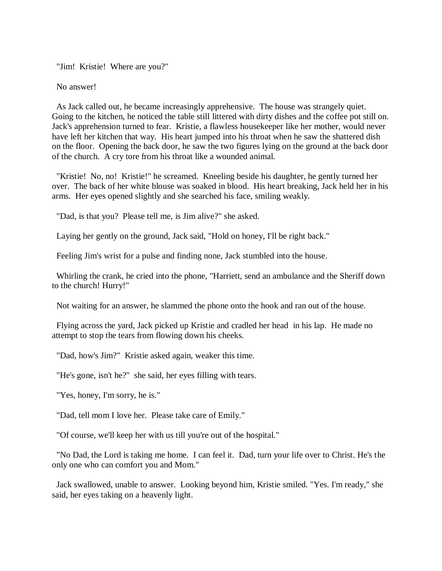"Jim! Kristie! Where are you?"

No answer!

 As Jack called out, he became increasingly apprehensive. The house was strangely quiet. Going to the kitchen, he noticed the table still littered with dirty dishes and the coffee pot still on. Jack's apprehension turned to fear. Kristie, a flawless housekeeper like her mother, would never have left her kitchen that way. His heart jumped into his throat when he saw the shattered dish on the floor. Opening the back door, he saw the two figures lying on the ground at the back door of the church. A cry tore from his throat like a wounded animal.

 "Kristie! No, no! Kristie!" he screamed. Kneeling beside his daughter, he gently turned her over. The back of her white blouse was soaked in blood. His heart breaking, Jack held her in his arms. Her eyes opened slightly and she searched his face, smiling weakly.

"Dad, is that you? Please tell me, is Jim alive?" she asked.

Laying her gently on the ground, Jack said, "Hold on honey, I'll be right back."

Feeling Jim's wrist for a pulse and finding none, Jack stumbled into the house.

 Whirling the crank, he cried into the phone, "Harriett, send an ambulance and the Sheriff down to the church! Hurry!"

Not waiting for an answer, he slammed the phone onto the hook and ran out of the house.

 Flying across the yard, Jack picked up Kristie and cradled her head in his lap. He made no attempt to stop the tears from flowing down his cheeks.

"Dad, how's Jim?" Kristie asked again, weaker this time.

"He's gone, isn't he?" she said, her eyes filling with tears.

"Yes, honey, I'm sorry, he is."

"Dad, tell mom I love her. Please take care of Emily."

"Of course, we'll keep her with us till you're out of the hospital."

 "No Dad, the Lord is taking me home. I can feel it. Dad, turn your life over to Christ. He's the only one who can comfort you and Mom."

 Jack swallowed, unable to answer. Looking beyond him, Kristie smiled. "Yes. I'm ready," she said, her eyes taking on a heavenly light.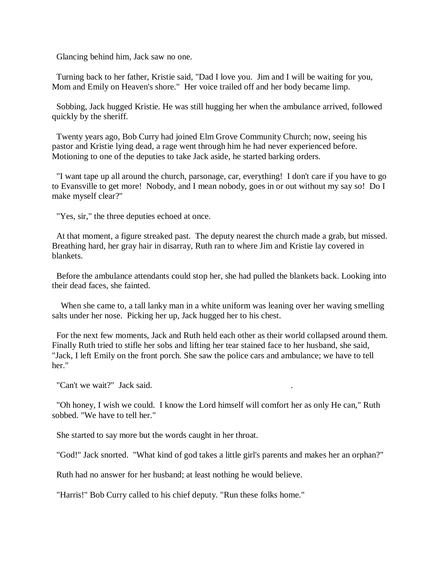Glancing behind him, Jack saw no one.

 Turning back to her father, Kristie said, "Dad I love you. Jim and I will be waiting for you, Mom and Emily on Heaven's shore." Her voice trailed off and her body became limp.

 Sobbing, Jack hugged Kristie. He was still hugging her when the ambulance arrived, followed quickly by the sheriff.

 Twenty years ago, Bob Curry had joined Elm Grove Community Church; now, seeing his pastor and Kristie lying dead, a rage went through him he had never experienced before. Motioning to one of the deputies to take Jack aside, he started barking orders.

 "I want tape up all around the church, parsonage, car, everything! I don't care if you have to go to Evansville to get more! Nobody, and I mean nobody, goes in or out without my say so! Do I make myself clear?"

"Yes, sir," the three deputies echoed at once.

 At that moment, a figure streaked past. The deputy nearest the church made a grab, but missed. Breathing hard, her gray hair in disarray, Ruth ran to where Jim and Kristie lay covered in blankets.

 Before the ambulance attendants could stop her, she had pulled the blankets back. Looking into their dead faces, she fainted.

 When she came to, a tall lanky man in a white uniform was leaning over her waving smelling salts under her nose. Picking her up, Jack hugged her to his chest.

 For the next few moments, Jack and Ruth held each other as their world collapsed around them. Finally Ruth tried to stifle her sobs and lifting her tear stained face to her husband, she said, "Jack, I left Emily on the front porch. She saw the police cars and ambulance; we have to tell her."

"Can't we wait?" Jack said.

 "Oh honey, I wish we could. I know the Lord himself will comfort her as only He can," Ruth sobbed. "We have to tell her."

She started to say more but the words caught in her throat.

"God!" Jack snorted. "What kind of god takes a little girl's parents and makes her an orphan?"

Ruth had no answer for her husband; at least nothing he would believe.

"Harris!" Bob Curry called to his chief deputy. "Run these folks home."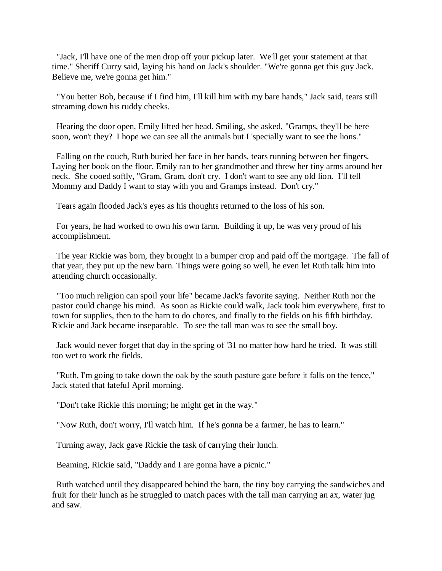"Jack, I'll have one of the men drop off your pickup later. We'll get your statement at that time." Sheriff Curry said, laying his hand on Jack's shoulder. "We're gonna get this guy Jack. Believe me, we're gonna get him."

 "You better Bob, because if I find him, I'll kill him with my bare hands," Jack said, tears still streaming down his ruddy cheeks.

 Hearing the door open, Emily lifted her head. Smiling, she asked, "Gramps, they'll be here soon, won't they? I hope we can see all the animals but I 'specially want to see the lions."

 Falling on the couch, Ruth buried her face in her hands, tears running between her fingers. Laying her book on the floor, Emily ran to her grandmother and threw her tiny arms around her neck. She cooed softly, "Gram, Gram, don't cry. I don't want to see any old lion. I'll tell Mommy and Daddy I want to stay with you and Gramps instead. Don't cry."

Tears again flooded Jack's eyes as his thoughts returned to the loss of his son.

 For years, he had worked to own his own farm. Building it up, he was very proud of his accomplishment.

 The year Rickie was born, they brought in a bumper crop and paid off the mortgage. The fall of that year, they put up the new barn. Things were going so well, he even let Ruth talk him into attending church occasionally.

 "Too much religion can spoil your life" became Jack's favorite saying. Neither Ruth nor the pastor could change his mind. As soon as Rickie could walk, Jack took him everywhere, first to town for supplies, then to the barn to do chores, and finally to the fields on his fifth birthday. Rickie and Jack became inseparable. To see the tall man was to see the small boy.

 Jack would never forget that day in the spring of '31 no matter how hard he tried. It was still too wet to work the fields.

 "Ruth, I'm going to take down the oak by the south pasture gate before it falls on the fence," Jack stated that fateful April morning.

"Don't take Rickie this morning; he might get in the way."

"Now Ruth, don't worry, I'll watch him. If he's gonna be a farmer, he has to learn."

Turning away, Jack gave Rickie the task of carrying their lunch.

Beaming, Rickie said, "Daddy and I are gonna have a picnic."

 Ruth watched until they disappeared behind the barn, the tiny boy carrying the sandwiches and fruit for their lunch as he struggled to match paces with the tall man carrying an ax, water jug and saw.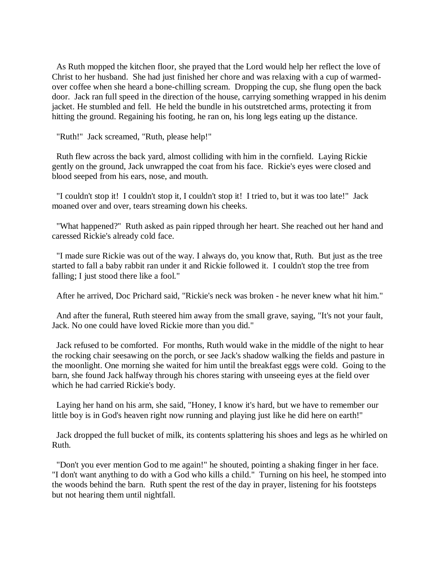As Ruth mopped the kitchen floor, she prayed that the Lord would help her reflect the love of Christ to her husband. She had just finished her chore and was relaxing with a cup of warmedover coffee when she heard a bone-chilling scream. Dropping the cup, she flung open the back door. Jack ran full speed in the direction of the house, carrying something wrapped in his denim jacket. He stumbled and fell. He held the bundle in his outstretched arms, protecting it from hitting the ground. Regaining his footing, he ran on, his long legs eating up the distance.

"Ruth!" Jack screamed, "Ruth, please help!"

 Ruth flew across the back yard, almost colliding with him in the cornfield. Laying Rickie gently on the ground, Jack unwrapped the coat from his face. Rickie's eyes were closed and blood seeped from his ears, nose, and mouth.

 "I couldn't stop it! I couldn't stop it, I couldn't stop it! I tried to, but it was too late!" Jack moaned over and over, tears streaming down his cheeks.

 "What happened?" Ruth asked as pain ripped through her heart. She reached out her hand and caressed Rickie's already cold face.

 "I made sure Rickie was out of the way. I always do, you know that, Ruth. But just as the tree started to fall a baby rabbit ran under it and Rickie followed it. I couldn't stop the tree from falling; I just stood there like a fool."

After he arrived, Doc Prichard said, "Rickie's neck was broken - he never knew what hit him."

 And after the funeral, Ruth steered him away from the small grave, saying, "It's not your fault, Jack. No one could have loved Rickie more than you did."

 Jack refused to be comforted. For months, Ruth would wake in the middle of the night to hear the rocking chair seesawing on the porch, or see Jack's shadow walking the fields and pasture in the moonlight. One morning she waited for him until the breakfast eggs were cold. Going to the barn, she found Jack halfway through his chores staring with unseeing eyes at the field over which he had carried Rickie's body.

 Laying her hand on his arm, she said, "Honey, I know it's hard, but we have to remember our little boy is in God's heaven right now running and playing just like he did here on earth!"

 Jack dropped the full bucket of milk, its contents splattering his shoes and legs as he whirled on Ruth.

 "Don't you ever mention God to me again!" he shouted, pointing a shaking finger in her face. "I don't want anything to do with a God who kills a child." Turning on his heel, he stomped into the woods behind the barn. Ruth spent the rest of the day in prayer, listening for his footsteps but not hearing them until nightfall.